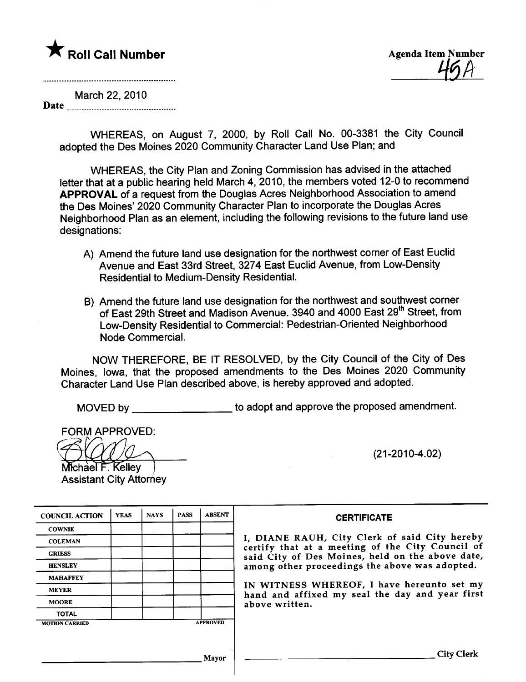# \* Roll Call Number Agenda Item Number

 $\overline{\mathcal{L}^{\prime}}$  i

March 22, 2010 Date

> WHEREAS, on August 7, 2000, by Roll Call No. 00-3381 the City Council adopted the Des Moines 2020 Community Character Land Use Plan; and

WHEREAS, the City Plan and Zoning Commission has advised in the attached letter that at a public hearing held March 4, 2010, the members voted 12-0 to recommend APPROVAL of a request from the Douglas Acres Neighborhood Association to amend the Des Moines' 2020 Community Character Plan to incorporate the Douglas Acres Neighborhood Plan as an element, including the following revisions to the future land use designations:

- A) Amend the future land use designation for the northwest corner of East Euclid Avenue and East 33rd Street, 3274 East Euclid Avenue, from Low-Density Residential to Medium-Density ResidentiaL.
- B) Amend the future land use designation for the northwest and southwest corner of East 29th Street and Madison Avenue. 3940 and 4000 East 29<sup>th</sup> Street, from Low-Density Residential to Commercial: Pedestrian-Oriented Neighborhood Node Commercial.

NOW THEREFORE, BE IT RESOLVED, by the City Council of the City of Des Moines, Iowa, that the proposed amendments to the Des Moines 2020 Community Character Land Use Plan described above, is hereby approved and adopted.

MOVED by \_\_\_\_\_\_\_\_\_\_\_\_\_\_\_\_\_\_\_\_\_ to adopt and approve the proposed amendment.

FORM APPROVED:<br>
Michael F. Kelley

Assistant City Attorney

(21-2010-4.02)

| <b>COUNCIL ACTION</b> | <b>YEAS</b> | <b>NAYS</b> | <b>PASS</b> | <b>ABSENT</b>   |
|-----------------------|-------------|-------------|-------------|-----------------|
| <b>COWNIE</b>         |             |             |             |                 |
| <b>COLEMAN</b>        |             |             |             |                 |
| <b>GRIESS</b>         |             |             |             |                 |
| <b>HENSLEY</b>        |             |             |             |                 |
| <b>MAHAFFEY</b>       |             |             |             |                 |
| <b>MEYER</b>          |             |             |             |                 |
| <b>MOORE</b>          |             |             |             |                 |
| <b>TOTAL</b>          |             |             |             |                 |
| <b>MOTION CARRIED</b> |             |             |             | <b>APPROVED</b> |

**CERTIFICATE** 

DIANE RAUH, City Clerk of said City hereby certify that at a meeting of the City Council of said City of Des Moines, held on the above date, ong other proceedings the above was adopted.

WITNESS WHEREOF, I have hereunto set my nd and affixed my seal the day and year first ove written.

Mayor City Clerk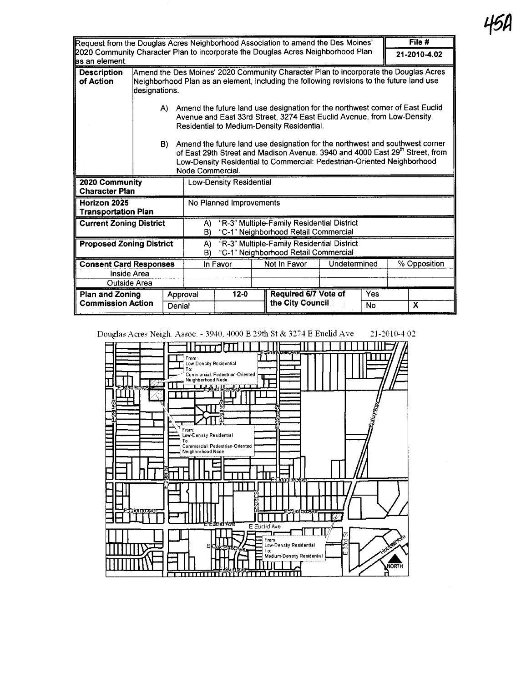| Request from the Douglas Acres Neighborhood Association to amend the Des Moines'                    |               |                                                                                                                                                                                                          |                  |          |                              |                                                                                           | File #       |              |                                                                                                                                                                          |
|-----------------------------------------------------------------------------------------------------|---------------|----------------------------------------------------------------------------------------------------------------------------------------------------------------------------------------------------------|------------------|----------|------------------------------|-------------------------------------------------------------------------------------------|--------------|--------------|--------------------------------------------------------------------------------------------------------------------------------------------------------------------------|
| 2020 Community Character Plan to incorporate the Douglas Acres Neighborhood Plan<br>las an element. |               |                                                                                                                                                                                                          |                  |          |                              |                                                                                           | 21-2010-4.02 |              |                                                                                                                                                                          |
| <b>Description</b><br>of Action                                                                     | designations. |                                                                                                                                                                                                          |                  |          |                              | Neighborhood Plan as an element, including the following revisions to the future land use |              |              | Amend the Des Moines' 2020 Community Character Plan to incorporate the Douglas Acres                                                                                     |
|                                                                                                     |               | A) Amend the future land use designation for the northwest corner of East Euclid<br>Avenue and East 33rd Street, 3274 East Euclid Avenue, from Low-Density<br>Residential to Medium-Density Residential. |                  |          |                              |                                                                                           |              |              |                                                                                                                                                                          |
|                                                                                                     |               | B)                                                                                                                                                                                                       | Node Commercial. |          |                              | Low-Density Residential to Commercial: Pedestrian-Oriented Neighborhood                   |              |              | Amend the future land use designation for the northwest and southwest corner<br>of East 29th Street and Madison Avenue. 3940 and 4000 East 29 <sup>th</sup> Street, from |
| 2020 Community<br><b>Character Plan</b>                                                             |               | <b>Low-Density Residential</b>                                                                                                                                                                           |                  |          |                              |                                                                                           |              |              |                                                                                                                                                                          |
| Horizon 2025<br><b>Transportation Plan</b>                                                          |               | No Planned Improvements                                                                                                                                                                                  |                  |          |                              |                                                                                           |              |              |                                                                                                                                                                          |
| <b>Current Zoning District</b>                                                                      |               | "R-3" Multiple-Family Residential District<br>A)<br>"C-1" Neighborhood Retail Commercial<br>B)                                                                                                           |                  |          |                              |                                                                                           |              |              |                                                                                                                                                                          |
| <b>Proposed Zoning District</b>                                                                     |               | "R-3" Multiple-Family Residential District<br>$\mathsf{A}$<br>"C-1" Neighborhood Retail Commercial<br>B)                                                                                                 |                  |          |                              |                                                                                           |              |              |                                                                                                                                                                          |
| <b>Consent Card Responses</b>                                                                       |               | In Favor                                                                                                                                                                                                 |                  |          | Not In Favor<br>Undetermined |                                                                                           |              | % Opposition |                                                                                                                                                                          |
| <b>Inside Area</b>                                                                                  |               |                                                                                                                                                                                                          |                  |          |                              |                                                                                           |              |              |                                                                                                                                                                          |
| Outside Area                                                                                        |               |                                                                                                                                                                                                          |                  |          |                              |                                                                                           |              |              |                                                                                                                                                                          |
| <b>Plan and Zoning</b>                                                                              |               | Approval                                                                                                                                                                                                 |                  | $12 - 0$ |                              | Required 6/7 Vote of                                                                      |              | Yes          |                                                                                                                                                                          |
| <b>Commission Action</b>                                                                            | Denial        |                                                                                                                                                                                                          |                  |          |                              | the City Council                                                                          |              | No           | X                                                                                                                                                                        |

21-2010-4.02

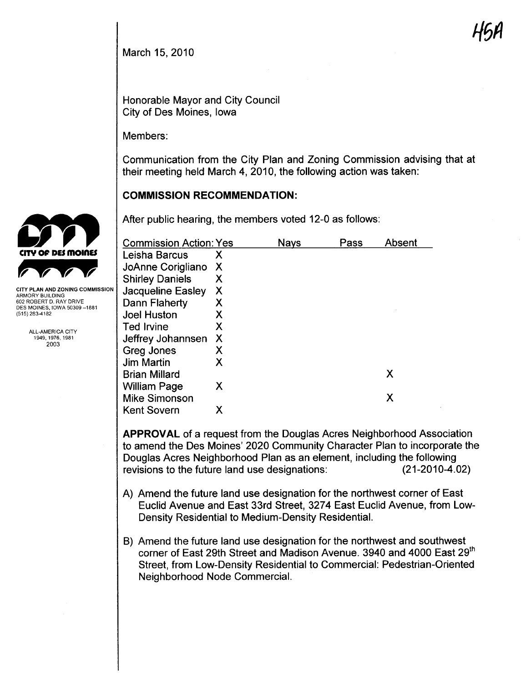March 15, 2010

Honorable Mayor and City Council City of Des Moines, Iowa

Members:

Communication from the City Plan and Zoning Commission advising that at their meeting held March 4, 2010, the following action was taken:

# COMMISSION RECOMMENDATION:

After public hearing, the members voted 12-0 as follows:

| <b>Commission Action: Yes</b> |   | <b>Navs</b> | Pass | Absent |
|-------------------------------|---|-------------|------|--------|
| Leisha Barcus                 | Х |             |      |        |
| JoAnne Corigliano             | X |             |      |        |
| <b>Shirley Daniels</b>        | Χ |             |      |        |
| Jacqueline Easley             | Х |             |      |        |
| Dann Flaherty                 | Χ |             |      |        |
| <b>Joel Huston</b>            | Χ |             |      |        |
| <b>Ted Irvine</b>             | Х |             |      |        |
| Jeffrey Johannsen             | X |             |      |        |
| Greg Jones                    | Х |             |      |        |
| <b>Jim Martin</b>             | Х |             |      |        |
| <b>Brian Millard</b>          |   |             |      | Χ      |
| <b>William Page</b>           | Х |             |      |        |
| <b>Mike Simonson</b>          |   |             |      | Χ      |
| <b>Kent Sovern</b>            | Χ |             |      |        |

APPROVAL of a request from the Douglas Acres Neighborhood Association to amend the Des Moines' 2020 Community Character Plan to incorporate the Douglas Acres Neighborhood Plan as an element, including the following revisions to the future land use designations: (21-2010-4.02)

- A) Amend the future land use designation for the northwest corner of East Euclid Avenue and East 33rd Street, 3274 East Euclid Avenue, from Low-Density Residential to Medium-Density ResidentiaL.
- B) Amend the future land use designation for the northwest and southwest corner of East 29th Street and Madison Avenue. 3940 and 4000 East 29th Street, from Low-Density Residential to Commercial: Pedestrian-Oriented Neighborhood Node CommerciaL.



CITY PLAN AND ZONING COMMISSION ARMORY BUILDING 602 ROBERT D. RAY DRIVE DES MOINES, IOWA 50309-1881 (515) 283-4182

> ALL-AMERICA CITY 1949,1976, 1981 2003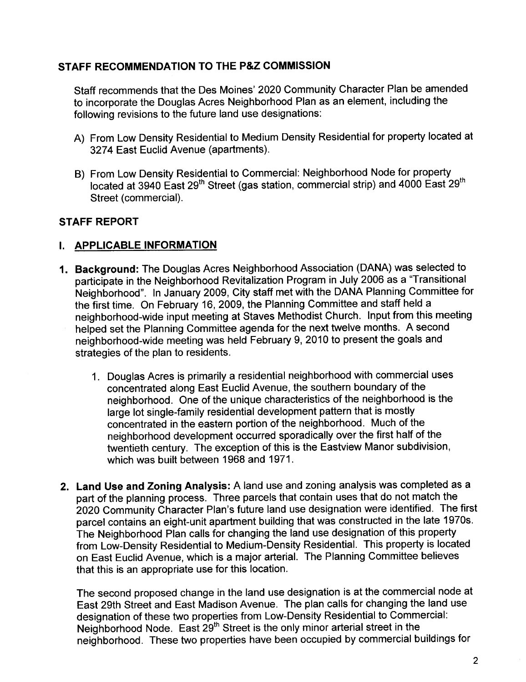#### STAFF RECOMMENDATION TO THE P&Z COMMISSION

Staff recommends that the Des Moines' 2020 Community Character Plan be amended to incorporate the Douglas Acres Neighborhood Plan as an element, including the following revisions to the future land use designations:

- A) From Low Density Residential to Medium Density Residential for property located at 3274 East Euclid Avenue (apartments).
- B) From Low Density Residential to Commercial: Neighborhood Node for property located at 3940 East 29<sup>th</sup> Street (gas station, commercial strip) and 4000 East 29<sup>th</sup> Street (commercial).

#### STAFF REPORT

# I. APPLICABLE INFORMATION

- 1. Background: The Douglas Acres Neighborhood Association (DANA) was selected to participate in the Neighborhood Revitalization Program in July 2006 as a ''Transitional Neighborhood". In January 2009, City staff met with the DANA Planning Committee for the first time. On February 16, 2009, the Planning Committee and staff held a neighborhood-wide input meeting at Staves Methodist Church. Input from this meeting helped set the Planning Committee agenda for the next twelve months. A second neighborhood-wide meeting was held February 9,2010 to present the goals and strategies of the plan to residents.
	- 1. Douglas Acres is primarily a residential neighborhood with commercial uses concentrated along East Euclid Avenue, the southern boundary of the neighborhood. One of the unique characteristics of the neighborhood is the large lot single-family residential development pattern that is mostly concentrated in the eastern portion of the neighborhood. Much of the neighborhood development occurred sporadically over the first half of the twentieth century. The exception of this is the Eastview Manor subdivision, which was built between 1968 and 1971.
- 2. Land Use and Zoning Analysis: A land use and zoning analysis was completed as a part of the planning process. Three parcels that contain uses that do not match the 2020 Community Character Plan's future land use designation were identified. The first parcel contains an eight-unit apartment building that was constructed in the late 1970s. The Neighborhood Plan calls for changing the land use designation of this property from Low-Density Residential to Medium-Density Residential. This property is located on East Euclid Avenue, which is a major arterial. The Planning Committee believes that this is an appropriate use for this location.

The second proposed change in the land use designation is at the commercial node at East 29th Street and East Madison Avenue. The plan calls for changing the land use designation of these two properties from Low-Density Residential to Commercial: Neighborhood Node. East  $29<sup>th</sup>$  Street is the only minor arterial street in the neighborhood. These two properties have been occupied by commercial buildings for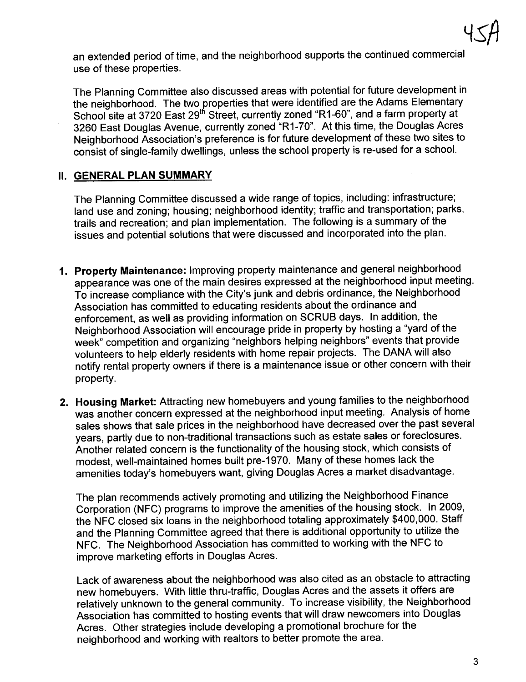an extended period of time, and the neighborhood supports the continued commercial use of these properties.

The Planning Committee also discussed areas with potential for future development in the neighborhood. The two properties that were identified are the Adams Elementary School site at 3720 East 29th Street, currently zoned "R1-60", and a farm property at 3260 East Douglas Avenue, currently zoned "R1-70". At this time, the Douglas Acres Neighborhood Association's preference is for future development of these two sites to consist of single-family dwellngs, unless the school property is re-used for a schooL.

# **II. GENERAL PLAN SUMMARY**

The Planning Committee discussed a wide range of topics, including: infrastructure; land use and zoning; housing; neighborhood identity; traffic and transportation; parks, trails and recreation; and plan implementation. The following is a summary of the issues and potential solutions that were discussed and incorporated into the plan.

- 1. Property Maintenance: Improving property maintenance and general neighborhood appearance was one of the main desires expressed at the neighborhood input meeting. To increase compliance with the City's junk and debris ordinance, the Neighborhood Association has committed to educating residents about the ordinance and enforcement, as well as providing information on SCRUB days. In addition, the Neighborhood Association will encourage pride in property by hosting a "yard of the week" competition and organizing "neighbors helping neighbors" events that provide volunteers to help elderly residents with home repair projects. The DANA will also notify rental property owners if there is a maintenance issue or other concern with their property.
- 2. Housing Market: Attracting new homebuyers and young families to the neighborhood was another concern expressed at the neighborhood input meeting. Analysis of home sales shows that sale prices in the neighborhood have decreased over the past several years, partly due to non-traditional transactions such as estate sales or foreclosures. Another related concern is the functionality of the housing stock, which consists of modest, well-maintained homes built pre-1970. Many of these homes lack the amenities today's homebuyers want, giving Douglas Acres a market disadvantage.

The plan recommends actively promoting and utilizing the Neighborhood Finance Corporation (NFC) programs to improve the amenities of the housing stock. In 2009, the NFC closed six loans in the neighborhood totaling approximately \$400,000. Staff and the Planning Committee agreed that there is additional opportunity to utilize the NFC. The Neighborhood Association has committed to working with the NFC to improve marketing efforts in Douglas Acres.

Lack of awareness about the neighborhood was also cited as an obstacle to attracting new homebuyers. With little thru-traffic, Douglas Acres and the assets it offers are relatively unknown to the general community. To increase visibility, the Neighborhood Association has committed to hosting events that will draw newcomers into Douglas Acres. Other strategies include developing a promotional brochure for the neighborhood and working with realtors to better promote the area.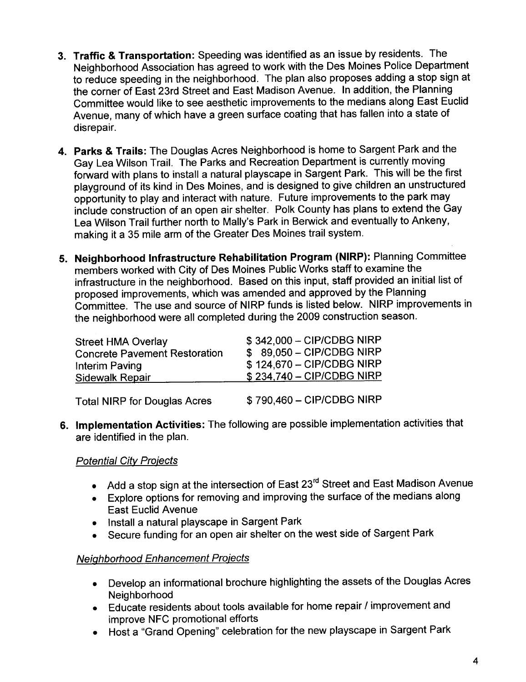- 3. Traffic & Transportation: Speeding was identified as an issue by residents. The Neighborhood Association has agreed to work with the Des Moines Police Department to reduce speeding in the neighborhood. The plan also proposes adding a stop sign at the corner of East 23rd Street and East Madison Avenue. In addition, the Planning Committee would like to see aesthetic improvements to the medians along East Euclid Avenue, many of which have a green surface coating that has fallen into a state of disrepair.
- 4. Parks & Trails: The Douglas Acres Neighborhood is home to Sargent Park and the Gay Lea Wilson TraiL. The Parks and Recreation Department is currently moving forward with plans to install a natural playscape in Sargent Park. This will be the first playground of its kind in Des Moines, and is designed to give children an unstructured opportunity to play and interact with nature. Future improvements to the park may include construction of an open air shelter. Polk County has plans to extend the Gay Lea Wilson Trail further north to Mally's Park in Berwick and eventually to Ankeny, making it a 35 mile arm of the Greater Des Moines trail system.
- 5. Neighborhood Infrastructure Rehabiltation Program (NIRP): Planning Committee members worked with City of Des Moines Public Works staff to examine the infrastructure in the neighborhood. Based on this input, staff provided an initial list of proposed improvements, which was amended and approved by the Planning Committee. The use and source of NIRP funds is listed below. NIRP improvements in the neighborhood were all completed during the 2009 construction season.

| <b>Street HMA Overlay</b>            | \$342,000 - CIP/CDBG NIRP |
|--------------------------------------|---------------------------|
| <b>Concrete Pavement Restoration</b> | \$89,050 - CIP/CDBG NIRP  |
| Interim Paving                       | \$124,670 - CIP/CDBG NIRP |
| Sidewalk Repair                      | \$234,740 - CIP/CDBG NIRP |
| <b>Total NIRP for Douglas Acres</b>  | \$790,460 - CIP/CDBG NIRP |

6. Implementation Activities: The following are possible implementation activities that are identified in the plan.

# **Potential City Projects**

- . Add a stop sign at the intersection of East 23rd Street and East Madison Avenue
- . Explore options for removing and improving the surface of the medians along East Euclid Avenue
- . Install a natural playscape in Sargent Park
- . Secure funding for an open air shelter on the west side of Sargent Park

# Neiqhborhood Enhancement Proiects

- . Develop an informational brochure highlighting the assets of the Douglas Acres Neighborhood
- . Educate residents about tools available for home repair I improvement and improve NFC promotional efforts
- . Host a "Grand Opening" celebration for the new playscape in Sargent Park